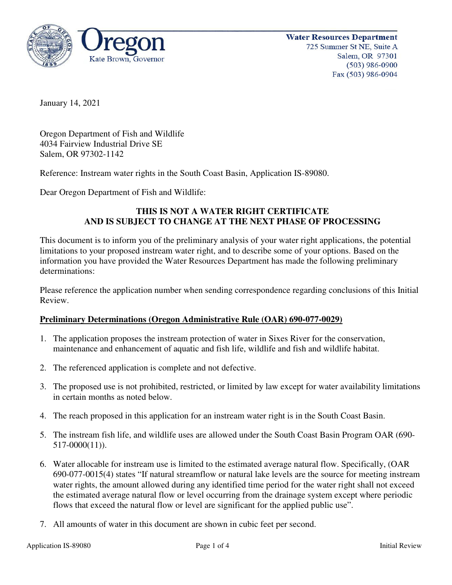

January 14, 2021

Oregon Department of Fish and Wildlife 4034 Fairview Industrial Drive SE Salem, OR 97302-1142

Reference: Instream water rights in the South Coast Basin, Application IS-89080.

Dear Oregon Department of Fish and Wildlife:

# **THIS IS NOT A WATER RIGHT CERTIFICATE AND IS SUBJECT TO CHANGE AT THE NEXT PHASE OF PROCESSING**

This document is to inform you of the preliminary analysis of your water right applications, the potential limitations to your proposed instream water right, and to describe some of your options. Based on the information you have provided the Water Resources Department has made the following preliminary determinations:

Please reference the application number when sending correspondence regarding conclusions of this Initial Review.

## **Preliminary Determinations (Oregon Administrative Rule (OAR) 690-077-0029)**

- 1. The application proposes the instream protection of water in Sixes River for the conservation, maintenance and enhancement of aquatic and fish life, wildlife and fish and wildlife habitat.
- 2. The referenced application is complete and not defective.
- 3. The proposed use is not prohibited, restricted, or limited by law except for water availability limitations in certain months as noted below.
- 4. The reach proposed in this application for an instream water right is in the South Coast Basin.
- 5. The instream fish life, and wildlife uses are allowed under the South Coast Basin Program OAR (690- 517-0000(11)).
- 6. Water allocable for instream use is limited to the estimated average natural flow. Specifically, (OAR 690-077-0015(4) states "If natural streamflow or natural lake levels are the source for meeting instream water rights, the amount allowed during any identified time period for the water right shall not exceed the estimated average natural flow or level occurring from the drainage system except where periodic flows that exceed the natural flow or level are significant for the applied public use".
- 7. All amounts of water in this document are shown in cubic feet per second.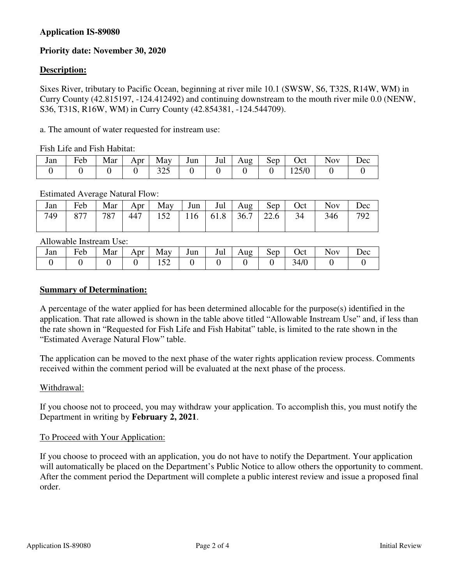## **Application IS-89080**

# **Priority date: November 30, 2020**

## **Description:**

Sixes River, tributary to Pacific Ocean, beginning at river mile 10.1 (SWSW, S6, T32S, R14W, WM) in Curry County (42.815197, -124.412492) and continuing downstream to the mouth river mile 0.0 (NENW, S36, T31S, R16W, WM) in Curry County (42.854381, -124.544709).

a. The amount of water requested for instream use:

Fish Life and Fish Habitat:

| Jan | $\mathbf{r}$<br>Feb | Mar | Apr | May           | Jun | Jul | Aug | Sep | Oct                             | <b>NOV</b> | Dec |
|-----|---------------------|-----|-----|---------------|-----|-----|-----|-----|---------------------------------|------------|-----|
|     |                     |     |     | 225<br>ں سے ب |     |     |     |     | $\Delta E$ IO<br>14 <i>JI</i> U |            |     |

#### Estimated Average Natural Flow:

| Jan | Feb | Mar | Apr $\vert$ | $\overline{May}$ Jun   Jul   Aug   $\overline{c}$ |  | Sep | Oct | <b>Nov</b> | Dec |
|-----|-----|-----|-------------|---------------------------------------------------|--|-----|-----|------------|-----|
| 749 | 877 | 787 | 447         | $152$   116   61.8   36.7   22.6                  |  |     | 34  | 346        | 792 |

Allowable Instream Use:

| Jan | $\mathbf{r}$<br>Feb | Mar | Apr | May    | Jun | Jul | Aug<br>ັ | Sep | Oct  | <b>NOV</b> | Dec |
|-----|---------------------|-----|-----|--------|-----|-----|----------|-----|------|------------|-----|
|     |                     |     |     | $\sim$ |     |     |          |     | 34/0 |            |     |

### **Summary of Determination:**

A percentage of the water applied for has been determined allocable for the purpose(s) identified in the application. That rate allowed is shown in the table above titled "Allowable Instream Use" and, if less than the rate shown in "Requested for Fish Life and Fish Habitat" table, is limited to the rate shown in the "Estimated Average Natural Flow" table.

The application can be moved to the next phase of the water rights application review process. Comments received within the comment period will be evaluated at the next phase of the process.

#### Withdrawal:

If you choose not to proceed, you may withdraw your application. To accomplish this, you must notify the Department in writing by **February 2, 2021**.

## To Proceed with Your Application:

If you choose to proceed with an application, you do not have to notify the Department. Your application will automatically be placed on the Department's Public Notice to allow others the opportunity to comment. After the comment period the Department will complete a public interest review and issue a proposed final order.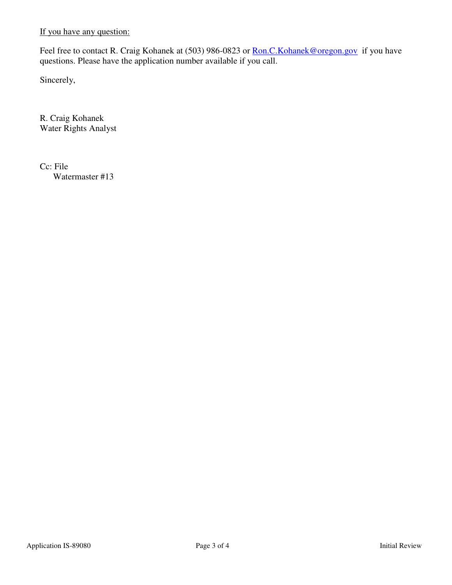If you have any question:

Feel free to contact R. Craig Kohanek at (503) 986-0823 or Ron.C. Kohanek@oregon.gov if you have questions. Please have the application number available if you call.

Sincerely,

R. Craig Kohanek Water Rights Analyst

Cc: File Watermaster #13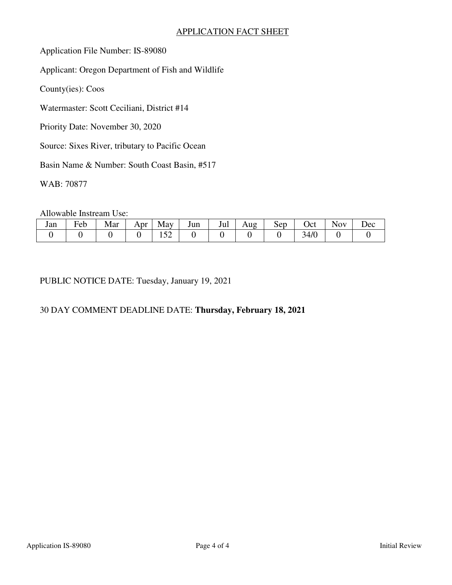## APPLICATION FACT SHEET

Application File Number: IS-89080

Applicant: Oregon Department of Fish and Wildlife

County(ies): Coos

Watermaster: Scott Ceciliani, District #14

Priority Date: November 30, 2020

Source: Sixes River, tributary to Pacific Ocean

Basin Name & Number: South Coast Basin, #517

WAB: 70877

Allowable Instream Use:

| Jan | $\blacksquare$<br>reb | Mar | Apr | May                           | Jun | Jul | Aug | Sep | Oct      | $\overline{\text{O}}\text{V}$ | Dec |
|-----|-----------------------|-----|-----|-------------------------------|-----|-----|-----|-----|----------|-------------------------------|-----|
|     |                       |     |     | $\sim$ $\sim$<br>⊥ J <i>—</i> |     |     |     |     | 4/0<br>ັ |                               |     |

PUBLIC NOTICE DATE: Tuesday, January 19, 2021

# 30 DAY COMMENT DEADLINE DATE: **Thursday, February 18, 2021**